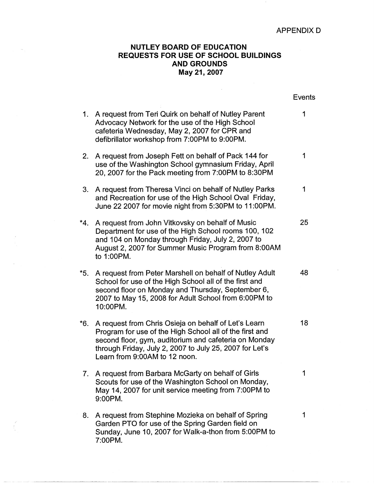## **APPENDIXD**

## **NUTLEY BOARD OF EDUCATION REQUESTS FOR USE OF SCHOOL BUILDINGS AND GROUNDS May 21, 2007**

|       |                                                                                                                                                                                                                                                                      | <b>Events</b> |
|-------|----------------------------------------------------------------------------------------------------------------------------------------------------------------------------------------------------------------------------------------------------------------------|---------------|
| 1.    | A request from Teri Quirk on behalf of Nutley Parent<br>Advocacy Network for the use of the High School<br>cafeteria Wednesday, May 2, 2007 for CPR and<br>defibrillator workshop from 7:00PM to 9:00PM.                                                             | 1             |
| 2.    | A request from Joseph Fett on behalf of Pack 144 for<br>use of the Washington School gymnasium Friday, April<br>20, 2007 for the Pack meeting from 7:00PM to 8:30PM                                                                                                  | 1             |
| 3.    | A request from Theresa Vinci on behalf of Nutley Parks<br>and Recreation for use of the High School Oval Friday,<br>June 22 2007 for movie night from 5:30PM to 11:00PM.                                                                                             | 1             |
| *4.   | A request from John Vitkovsky on behalf of Music<br>Department for use of the High School rooms 100, 102<br>and 104 on Monday through Friday, July 2, 2007 to<br>August 2, 2007 for Summer Music Program from 8:00AM<br>to 1:00PM.                                   | 25            |
| $*5.$ | A request from Peter Marshell on behalf of Nutley Adult<br>School for use of the High School all of the first and<br>second floor on Monday and Thursday, September 6,<br>2007 to May 15, 2008 for Adult School from 6:00PM to<br>10:00PM.                           | 48            |
| *6.   | A request from Chris Osieja on behalf of Let's Learn<br>Program for use of the High School all of the first and<br>second floor, gym, auditorium and cafeteria on Monday<br>through Friday, July 2, 2007 to July 25, 2007 for Let's<br>Learn from 9:00AM to 12 noon. | 18            |
| 7.    | A request from Barbara McGarty on behalf of Girls<br>Scouts for use of the Washington School on Monday,<br>May 14, 2007 for unit service meeting from 7:00PM to<br>9:00PM.                                                                                           | 1             |
| 8.    | A request from Stephine Mozieka on behalf of Spring<br>Garden PTO for use of the Spring Garden field on<br>Sunday, June 10, 2007 for Walk-a-thon from 5:00PM to<br>7:00PM.                                                                                           | 1             |